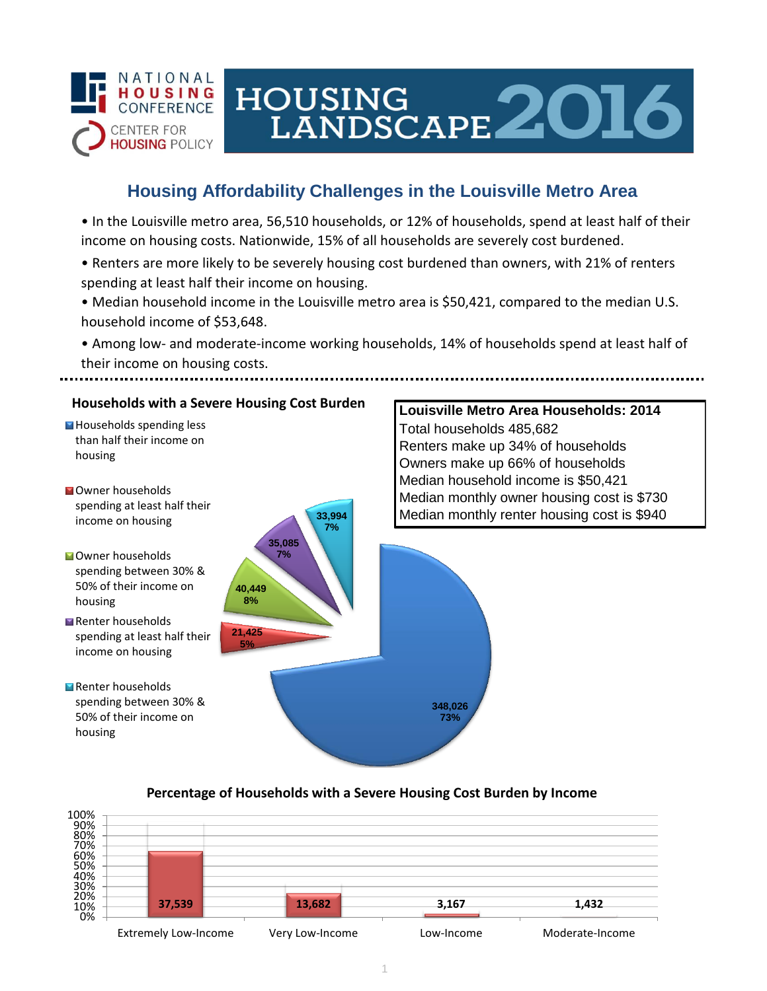

# HOUSING<br>LANDSCAPE 2016

# **Housing Affordability Challenges in the Louisville Metro Area**

• In the Louisville metro area, 56,510 households, or 12% of households, spend at least half of their income on housing costs. Nationwide, 15% of all households are severely cost burdened.

- Renters are more likely to be severely housing cost burdened than owners, with 21% of renters spending at least half their income on housing.
- Median household income in the Louisville metro area is \$50,421, compared to the median U.S. household income of \$53,648.
- Among low- and moderate-income working households, 14% of households spend at least half of their income on housing costs.



#### **Percentage of Households with a Severe Housing Cost Burden by Income**